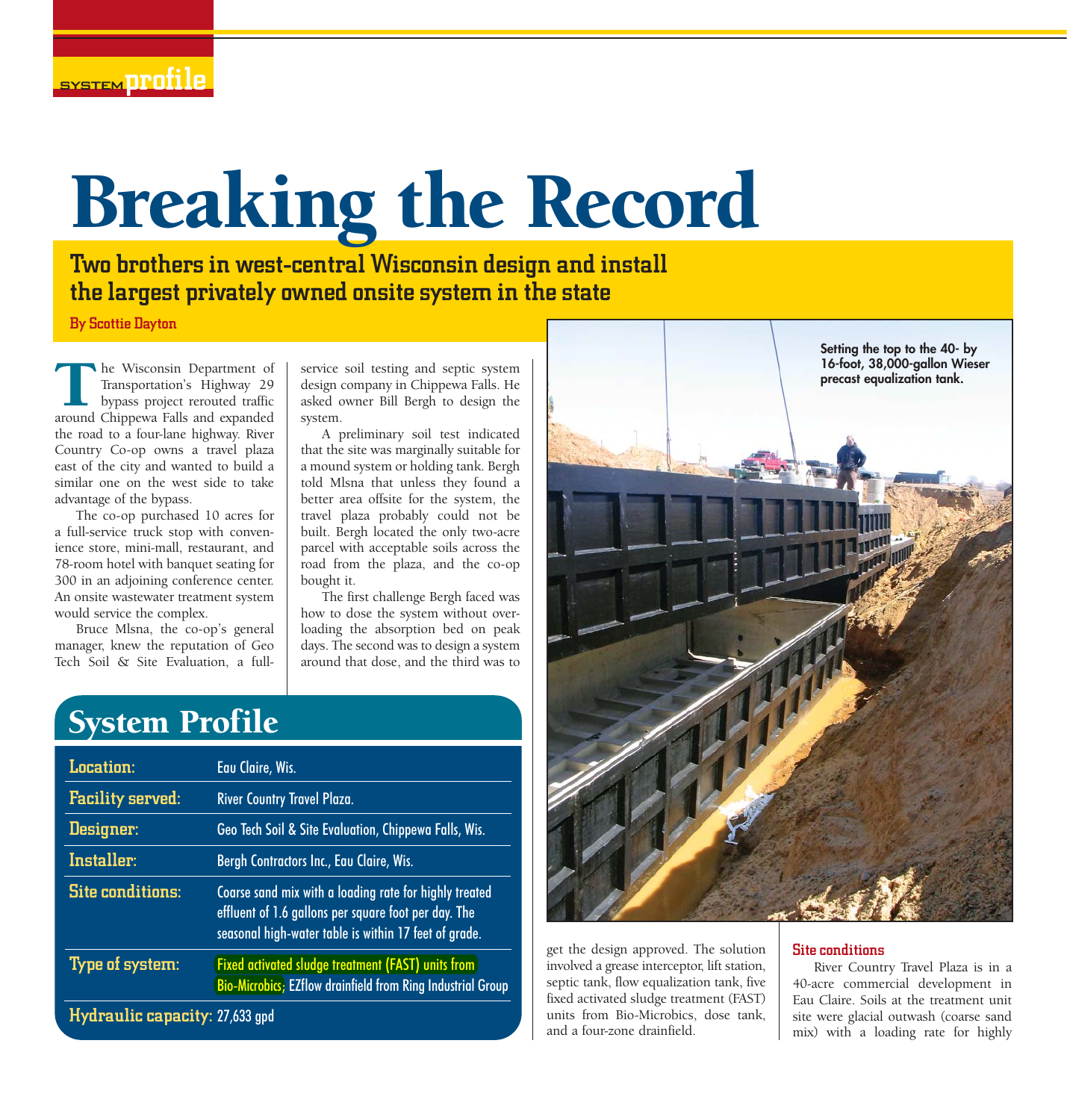# Breaking the Record

Two brothers in west-central Wisconsin design and install the largest privately owned onsite system in the state

By Scottie Dayton

he Wisconsin Department of Transportation's Highway 29 bypass project rerouted traffic The Wisconsin Department of Transportation's Highway 29 bypass project rerouted traffic<br>around Chippewa Falls and expanded the road to a four-lane highway. River Country Co-op owns a travel plaza east of the city and wanted to build a similar one on the west side to take advantage of the bypass.

The co-op purchased 10 acres for a full-service truck stop with convenience store, mini-mall, restaurant, and 78-room hotel with banquet seating for 300 in an adjoining conference center. An onsite wastewater treatment system would service the complex.

Bruce Mlsna, the co-op's general manager, knew the reputation of Geo Tech Soil & Site Evaluation, a fullservice soil testing and septic system design company in Chippewa Falls. He asked owner Bill Bergh to design the system.

A preliminary soil test indicated that the site was marginally suitable for a mound system or holding tank. Bergh told Mlsna that unless they found a better area offsite for the system, the travel plaza probably could not be built. Bergh located the only two-acre parcel with acceptable soils across the road from the plaza, and the co-op bought it.

The first challenge Bergh faced was how to dose the system without overloading the absorption bed on peak days. The second was to design a system around that dose, and the third was to

## System Profile

| Location:                      | Eau Claire, Wis.                                                                                                                                                        |
|--------------------------------|-------------------------------------------------------------------------------------------------------------------------------------------------------------------------|
| <b>Facility served:</b>        | <b>River Country Travel Plaza.</b>                                                                                                                                      |
| Designer:                      | Geo Tech Soil & Site Evaluation, Chippewa Falls, Wis.                                                                                                                   |
| Installer:                     | Bergh Contractors Inc., Eau Claire, Wis.                                                                                                                                |
| <b>Site conditions:</b>        | Coarse sand mix with a loading rate for highly treated<br>effluent of 1.6 gallons per square foot per day. The<br>seasonal high-water table is within 17 feet of grade. |
| Type of system:                | Fixed activated sludge treatment (FAST) units from<br><b>Bio-Microbics</b> ; EZflow drainfield from Ring Industrial Group                                               |
| Hydraulic capacity: 27,633 gpd |                                                                                                                                                                         |



get the design approved. The solution involved a grease interceptor, lift station, septic tank, flow equalization tank, five fixed activated sludge treatment (FAST) units from Bio-Microbics, dose tank, and a four-zone drainfield.

### Site conditions

River Country Travel Plaza is in a 40-acre commercial development in Eau Claire. Soils at the treatment unit site were glacial outwash (coarse sand mix) with a loading rate for highly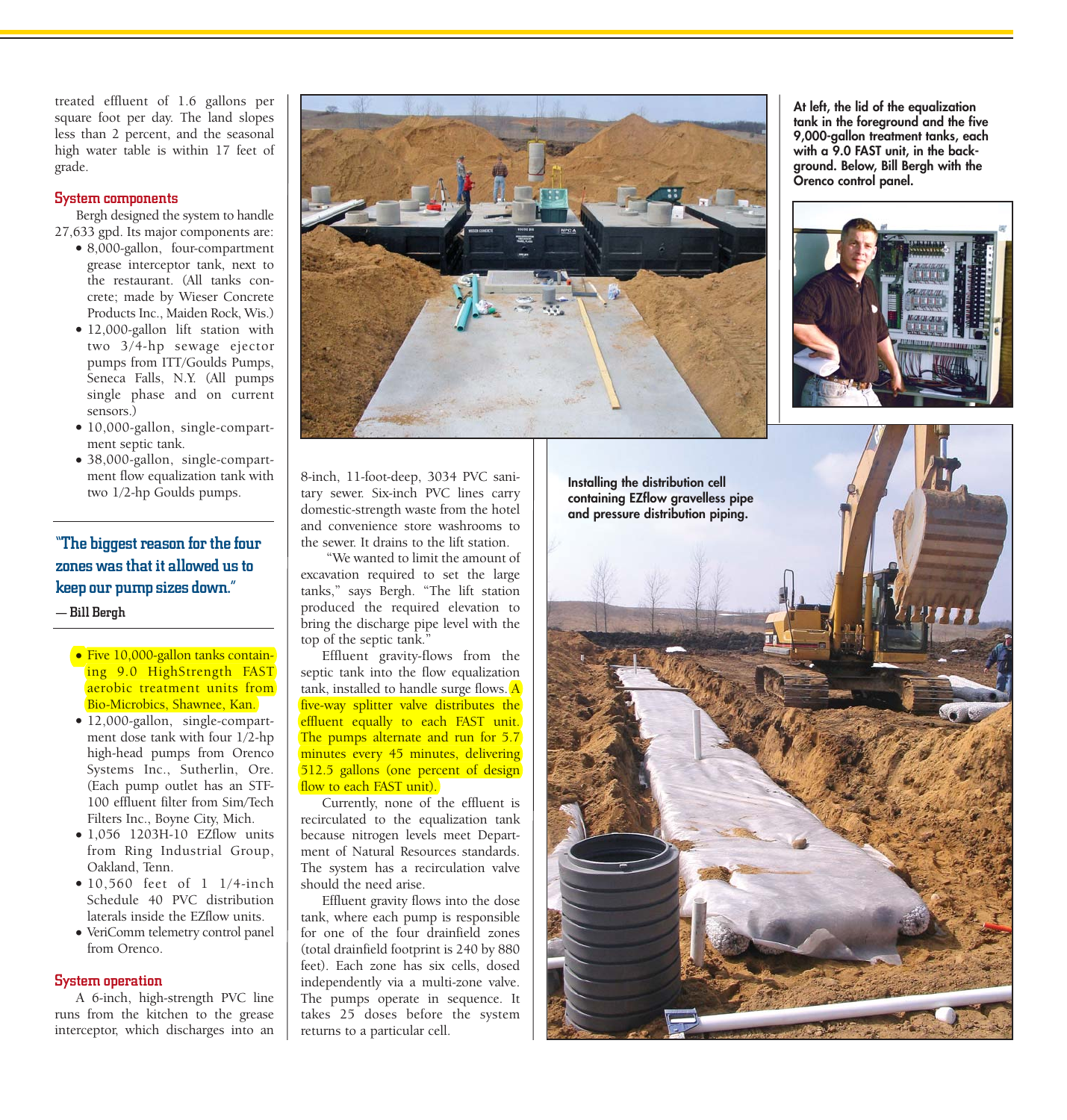treated effluent of 1.6 gallons per square foot per day. The land slopes less than 2 percent, and the seasonal high water table is within 17 feet of grade.

#### System components

Bergh designed the system to handle 27,633 gpd. Its major components are:

- 8,000-gallon, four-compartment grease interceptor tank, next to the restaurant. (All tanks concrete; made by Wieser Concrete Products Inc., Maiden Rock, Wis.)
- 12,000-gallon lift station with two 3/4-hp sewage ejector pumps from ITT/Goulds Pumps, Seneca Falls, N.Y. (All pumps single phase and on current sensors.)
- 10,000-gallon, single-compartment septic tank.
- 38,000-gallon, single-compartment flow equalization tank with two 1/2-hp Goulds pumps.

"The biggest reason for the four zones was that it allowed us to keep our pump sizes down." — Bill Bergh

- Five 10,000-gallon tanks containing 9.0 HighStrength FAST aerobic treatment units from Bio-Microbics, Shawnee, Kan.
- 12,000-gallon, single-compartment dose tank with four 1/2-hp high-head pumps from Orenco Systems Inc., Sutherlin, Ore. (Each pump outlet has an STF-100 effluent filter from Sim/Tech Filters Inc., Boyne City, Mich.
- 1,056 1203H-10 EZflow units from Ring Industrial Group, Oakland, Tenn.
- $\bullet$  10,560 feet of 1 1/4-inch Schedule 40 PVC distribution laterals inside the EZflow units.
- VeriComm telemetry control panel from Orenco.

#### System operation

A 6-inch, high-strength PVC line runs from the kitchen to the grease interceptor, which discharges into an



8-inch, 11-foot-deep, 3034 PVC sanitary sewer. Six-inch PVC lines carry domestic-strength waste from the hotel and convenience store washrooms to the sewer. It drains to the lift station.

"We wanted to limit the amount of excavation required to set the large tanks," says Bergh. "The lift station produced the required elevation to bring the discharge pipe level with the top of the septic tank."

Effluent gravity-flows from the septic tank into the flow equalization tank, installed to handle surge flows.  $\overline{A}$ five-way splitter valve distributes the effluent equally to each FAST unit. The pumps alternate and run for 5.7 minutes every 45 minutes, delivering 512.5 gallons (one percent of design flow to each FAST unit).

Currently, none of the effluent is recirculated to the equalization tank because nitrogen levels meet Department of Natural Resources standards. The system has a recirculation valve should the need arise.

Effluent gravity flows into the dose tank, where each pump is responsible for one of the four drainfield zones (total drainfield footprint is 240 by 880 feet). Each zone has six cells, dosed independently via a multi-zone valve. The pumps operate in sequence. It takes 25 doses before the system returns to a particular cell.



**At left, the lid of the equalization tank in the foreground and the five 9,000-gallon treatment tanks, each with a 9.0 FAST unit, in the background. Below, Bill Bergh with the Orenco control panel.**